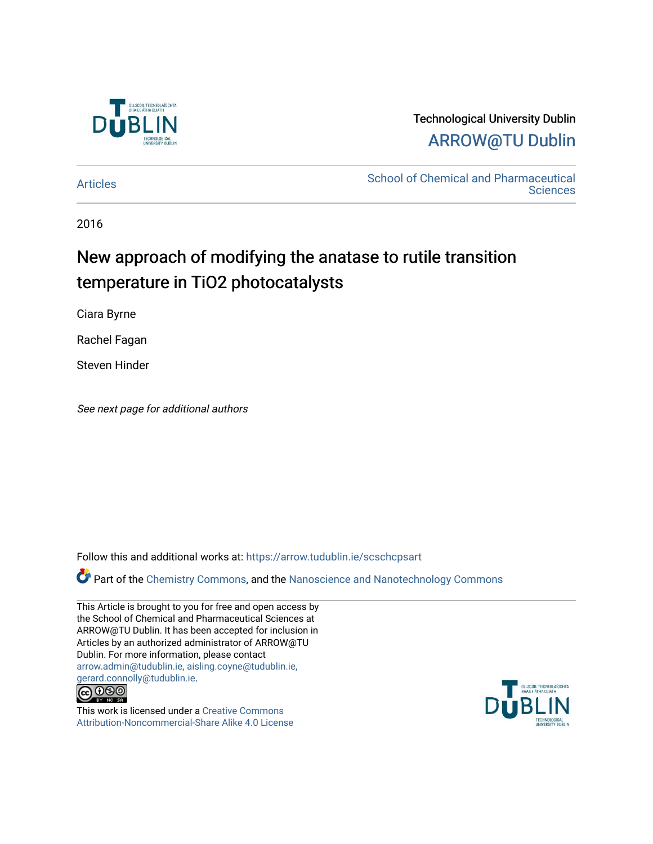

## Technological University Dublin [ARROW@TU Dublin](https://arrow.tudublin.ie/)

[Articles](https://arrow.tudublin.ie/scschcpsart) **School of Chemical and Pharmaceutical**<br> **Articles Sciences** 

2016

## New approach of modifying the anatase to rutile transition temperature in TiO2 photocatalysts

Ciara Byrne

Rachel Fagan

Steven Hinder

See next page for additional authors

Follow this and additional works at: [https://arrow.tudublin.ie/scschcpsart](https://arrow.tudublin.ie/scschcpsart?utm_source=arrow.tudublin.ie%2Fscschcpsart%2F127&utm_medium=PDF&utm_campaign=PDFCoverPages) 

Part of the [Chemistry Commons,](http://network.bepress.com/hgg/discipline/131?utm_source=arrow.tudublin.ie%2Fscschcpsart%2F127&utm_medium=PDF&utm_campaign=PDFCoverPages) and the [Nanoscience and Nanotechnology Commons](http://network.bepress.com/hgg/discipline/313?utm_source=arrow.tudublin.ie%2Fscschcpsart%2F127&utm_medium=PDF&utm_campaign=PDFCoverPages) 

This Article is brought to you for free and open access by the School of Chemical and Pharmaceutical Sciences at ARROW@TU Dublin. It has been accepted for inclusion in Articles by an authorized administrator of ARROW@TU Dublin. For more information, please contact [arrow.admin@tudublin.ie, aisling.coyne@tudublin.ie,](mailto:arrow.admin@tudublin.ie,%20aisling.coyne@tudublin.ie,%20gerard.connolly@tudublin.ie)  [gerard.connolly@tudublin.ie](mailto:arrow.admin@tudublin.ie,%20aisling.coyne@tudublin.ie,%20gerard.connolly@tudublin.ie).



This work is licensed under a [Creative Commons](http://creativecommons.org/licenses/by-nc-sa/4.0/) [Attribution-Noncommercial-Share Alike 4.0 License](http://creativecommons.org/licenses/by-nc-sa/4.0/)

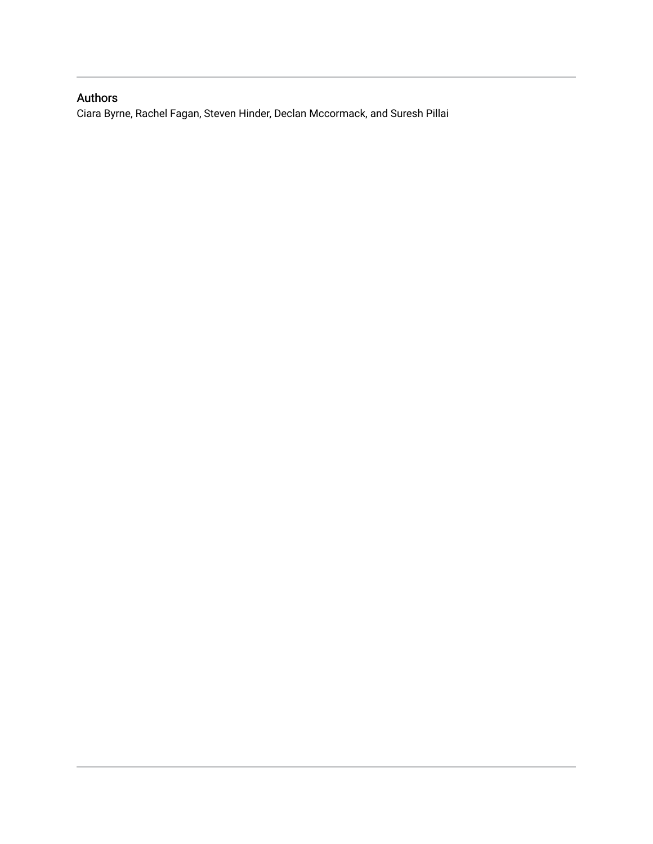## Authors

Ciara Byrne, Rachel Fagan, Steven Hinder, Declan Mccormack, and Suresh Pillai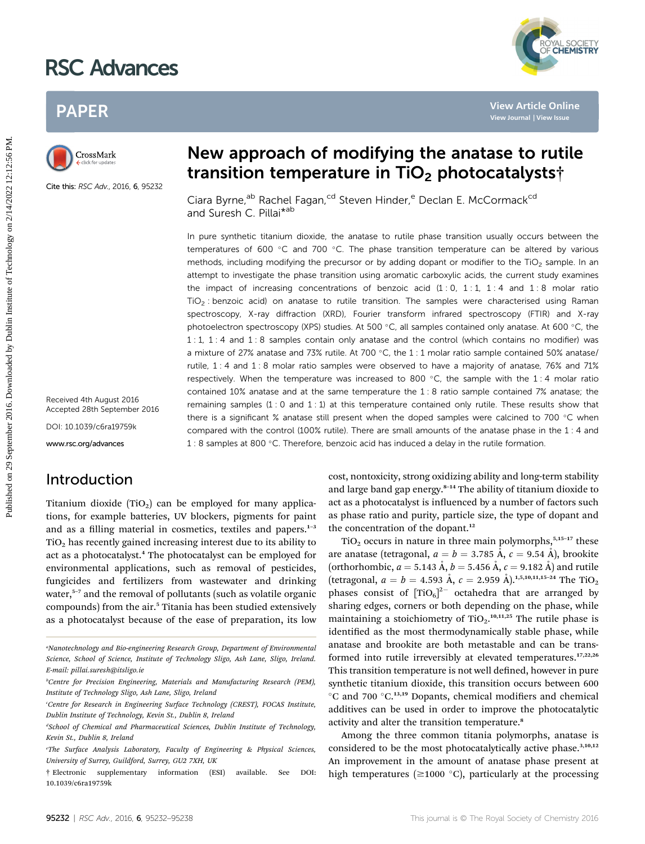# RSC Advances

## PAPER



Cite this: RSC Adv., 2016, 6, 95232

Received 4th August 2016 Accepted 28th September 2016

DOI: 10.1039/c6ra19759k

www.rsc.org/advances

## Introduction

Titanium dioxide  $(TIO<sub>2</sub>)$  can be employed for many applications, for example batteries, UV blockers, pigments for paint and as a filling material in cosmetics, textiles and papers. $1-3$  $TiO<sub>2</sub>$  has recently gained increasing interest due to its ability to act as a photocatalyst.<sup>4</sup> The photocatalyst can be employed for environmental applications, such as removal of pesticides, fungicides and fertilizers from wastewater and drinking water,<sup>5-7</sup> and the removal of pollutants (such as volatile organic compounds) from the air.<sup>5</sup> Titania has been studied extensively as a photocatalyst because of the ease of preparation, its low

## New approach of modifying the anatase to rutile transition temperature in  $TiO<sub>2</sub>$  photocatalysts<sup>†</sup>

Ciara Byrne,<sup>ab</sup> Rachel Fagan,<sup>cd</sup> Steven Hinder,<sup>e</sup> Declan E. McCormack<sup>cd</sup> and Suresh C. Pillai\*<sup>ab</sup>

In pure synthetic titanium dioxide, the anatase to rutile phase transition usually occurs between the temperatures of 600  $\degree$ C and 700  $\degree$ C. The phase transition temperature can be altered by various methods, including modifying the precursor or by adding dopant or modifier to the  $TiO<sub>2</sub>$  sample. In an attempt to investigate the phase transition using aromatic carboxylic acids, the current study examines the impact of increasing concentrations of benzoic acid  $(1:0, 1:1, 1:4$  and  $1:8$  molar ratio  $TiO<sub>2</sub>$ : benzoic acid) on anatase to rutile transition. The samples were characterised using Raman spectroscopy, X-ray diffraction (XRD), Fourier transform infrared spectroscopy (FTIR) and X-ray photoelectron spectroscopy (XPS) studies. At 500  $^{\circ}$ C, all samples contained only anatase. At 600  $^{\circ}$ C, the 1 : 1, 1 : 4 and 1 : 8 samples contain only anatase and the control (which contains no modifier) was a mixture of 27% anatase and 73% rutile. At 700 °C, the  $1:1$  molar ratio sample contained 50% anatase/ rutile, 1 : 4 and 1 : 8 molar ratio samples were observed to have a majority of anatase, 76% and 71% respectively. When the temperature was increased to 800  $^{\circ}$ C, the sample with the 1:4 molar ratio contained 10% anatase and at the same temperature the 1 : 8 ratio sample contained 7% anatase; the remaining samples  $(1: 0$  and  $1: 1)$  at this temperature contained only rutile. These results show that there is a significant % anatase still present when the doped samples were calcined to 700  $\degree$ C when compared with the control (100% rutile). There are small amounts of the anatase phase in the 1 : 4 and 1 : 8 samples at 800 °C. Therefore, benzoic acid has induced a delay in the rutile formation. PAPER<br>
Published on 2016<br>
Clara Byme,<sup>an</sup> Rechel Fagan.<sup>26</sup> Steven Hinder,<sup>6</sup> Declar E. McCormack<sup>ed</sup><br>
Clara Byme,<sup>an</sup> Rechel Fagan.<sup>26</sup> Steven Hinder,<sup>6</sup> Declar E. McCormack<sup>ed</sup><br>
In grows synthesis C. Pillar<sup>966</sup><br>
Institu

cost, nontoxicity, strong oxidizing ability and long-term stability and large band gap energy.<sup>8-14</sup> The ability of titanium dioxide to act as a photocatalyst is influenced by a number of factors such as phase ratio and purity, particle size, the type of dopant and the concentration of the dopant.<sup>12</sup>

YAL SOCIETY<br>**CHEMISTRY** 

 $TiO<sub>2</sub>$  occurs in nature in three main polymorphs,<sup>5,15-17</sup> these are anatase (tetragonal,  $a = b = 3.785 \text{ Å}$ ,  $c = 9.54 \text{ Å}$ ), brookite (orthorhombic,  $a = 5.143 \text{ Å}$ ,  $b = 5.456 \text{ Å}$ ,  $c = 9.182 \text{ Å}$ ) and rutile (tetragonal,  $a = b = 4.593 \text{ Å}$ ,  $c = 2.959 \text{ Å}$ ).<sup>1,5,10,11,15-24</sup> The TiO<sub>2</sub> phases consist of  $[TiO<sub>6</sub>]<sup>2</sup>$  octahedra that are arranged by sharing edges, corners or both depending on the phase, while maintaining a stoichiometry of  $TiO<sub>2</sub>$ ,  $10,11,25$  The rutile phase is identified as the most thermodynamically stable phase, while anatase and brookite are both metastable and can be transformed into rutile irreversibly at elevated temperatures.17,22,26 This transition temperature is not well defined, however in pure synthetic titanium dioxide, this transition occurs between 600  $\rm{^{\circ}C}$  and 700  $\rm{^{\circ}C}.^{13,19}$  Dopants, chemical modifiers and chemical additives can be used in order to improve the photocatalytic activity and alter the transition temperature.<sup>8</sup>

Among the three common titania polymorphs, anatase is considered to be the most photocatalytically active phase.<sup>3,10,12</sup> An improvement in the amount of anatase phase present at high temperatures ( $\geq$ 1000 °C), particularly at the processing

a Nanotechnology and Bio-engineering Research Group, Department of Environmental Science, School of Science, Institute of Technology Sligo, Ash Lane, Sligo, Ireland. E-mail: pillai.suresh@itsligo.ie

b Centre for Precision Engineering, Materials and Manufacturing Research (PEM), Institute of Technology Sligo, Ash Lane, Sligo, Ireland

c Centre for Research in Engineering Surface Technology (CREST), FOCAS Institute, Dublin Institute of Technology, Kevin St., Dublin 8, Ireland

d School of Chemical and Pharmaceutical Sciences, Dublin Institute of Technology, Kevin St., Dublin 8, Ireland

e The Surface Analysis Laboratory, Faculty of Engineering & Physical Sciences, University of Surrey, Guildford, Surrey, GU2 7XH, UK

<sup>†</sup> Electronic supplementary information (ESI) available. See DOI: 10.1039/c6ra19759k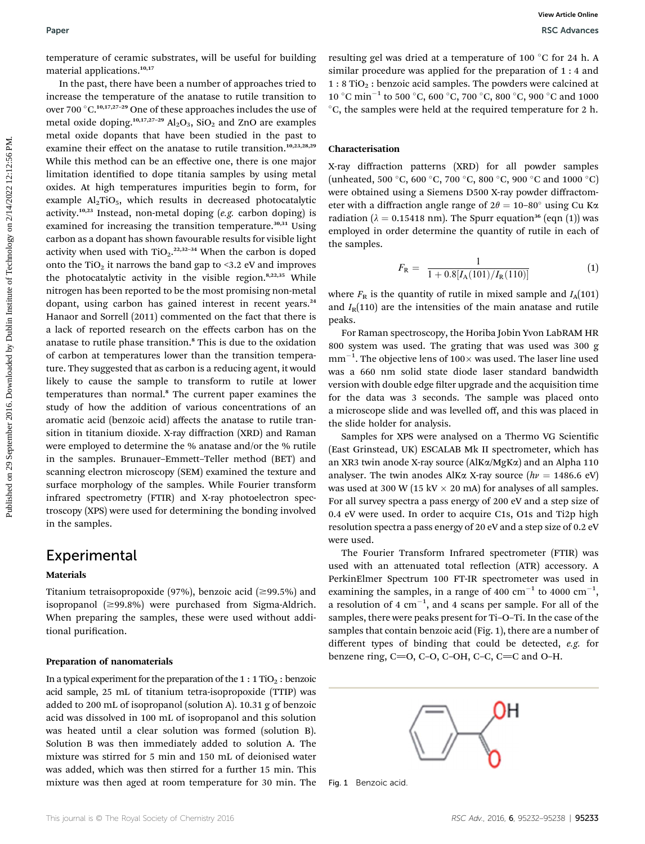In the past, there have been a number of approaches tried to increase the temperature of the anatase to rutile transition to over 700  $\mathrm{^{\circ}C}.^{10,17,27-29}$  One of these approaches includes the use of metal oxide doping.<sup>10,17,27-29</sup>  $\text{Al}_2\text{O}_3$ , SiO<sub>2</sub> and ZnO are examples metal oxide dopants that have been studied in the past to examine their effect on the anatase to rutile transition.<sup>10,23,28,29</sup> While this method can be an effective one, there is one major limitation identified to dope titania samples by using metal oxides. At high temperatures impurities begin to form, for example  $\text{Al}_2 \text{TiO}_5$ , which results in decreased photocatalytic activity.<sup>10,23</sup> Instead, non-metal doping  $(e.g.$  carbon doping) is examined for increasing the transition temperature.<sup>30,31</sup> Using carbon as a dopant has shown favourable results for visible light activity when used with TiO<sub>2</sub>.<sup>22,32-34</sup> When the carbon is doped onto the  $TiO<sub>2</sub>$  it narrows the band gap to <3.2 eV and improves the photocatalytic activity in the visible region.<sup>8,22,35</sup> While nitrogen has been reported to be the most promising non-metal dopant, using carbon has gained interest in recent years.<sup>24</sup> Hanaor and Sorrell (2011) commented on the fact that there is a lack of reported research on the effects carbon has on the anatase to rutile phase transition.<sup>8</sup> This is due to the oxidation of carbon at temperatures lower than the transition temperature. They suggested that as carbon is a reducing agent, it would likely to cause the sample to transform to rutile at lower temperatures than normal.<sup>8</sup> The current paper examines the study of how the addition of various concentrations of an aromatic acid (benzoic acid) affects the anatase to rutile transition in titanium dioxide. X-ray diffraction (XRD) and Raman were employed to determine the % anatase and/or the % rutile in the samples. Brunauer–Emmett–Teller method (BET) and scanning electron microscopy (SEM) examined the texture and surface morphology of the samples. While Fourier transform infrared spectrometry (FTIR) and X-ray photoelectron spectroscopy (XPS) were used for determining the bonding involved in the samples. **Puer Example on 2018.** Surface the second for building resulting get one chief at a temperature of Decomposition in the space by Dublin Institute of Dublin Institute of Dublin Institute of Technology of the second by the

### Experimental

#### Materials

Titanium tetraisopropoxide (97%), benzoic acid ( $\geq$ 99.5%) and isopropanol  $(\geq 99.8\%)$  were purchased from Sigma-Aldrich. When preparing the samples, these were used without additional purification.

#### Preparation of nanomaterials

In a typical experiment for the preparation of the  $1:1$  TiO<sub>2</sub>: benzoic acid sample, 25 mL of titanium tetra-isopropoxide (TTIP) was added to 200 mL of isopropanol (solution A). 10.31 g of benzoic acid was dissolved in 100 mL of isopropanol and this solution was heated until a clear solution was formed (solution B). Solution B was then immediately added to solution A. The mixture was stirred for 5 min and 150 mL of deionised water was added, which was then stirred for a further 15 min. This mixture was then aged at room temperature for 30 min. The resulting gel was dried at a temperature of 100  $^{\circ}$ C for 24 h. A similar procedure was applied for the preparation of 1 : 4 and  $1:8$  TiO<sub>2</sub>: benzoic acid samples. The powders were calcined at 10 °C min<sup>-1</sup> to 500 °C, 600 °C, 700 °C, 800 °C, 900 °C and 1000 C, the samples were held at the required temperature for 2 h.

### Characterisation

X-ray diffraction patterns (XRD) for all powder samples (unheated, 500 °C, 600 °C, 700 °C, 800 °C, 900 °C and 1000 °C) were obtained using a Siemens D500 X-ray powder diffractometer with a diffraction angle range of  $2\theta = 10-80^\circ$  using Cu K $\alpha$ radiation ( $\lambda = 0.15418$  nm). The Spurr equation<sup>36</sup> (eqn (1)) was employed in order determine the quantity of rutile in each of the samples.

$$
F_{\rm R} = \frac{1}{1 + 0.8[I_{\rm A}(101)/I_{\rm R}(110)]} \tag{1}
$$

where  $F_R$  is the quantity of rutile in mixed sample and  $I_A(101)$ and  $I_R(110)$  are the intensities of the main anatase and rutile peaks.

For Raman spectroscopy, the Horiba Jobin Yvon LabRAM HR 800 system was used. The grating that was used was 300 g  $\text{mm}^{-1}.$  The objective lens of 100 $\times$  was used. The laser line used was a 660 nm solid state diode laser standard bandwidth version with double edge filter upgrade and the acquisition time for the data was 3 seconds. The sample was placed onto a microscope slide and was levelled off, and this was placed in the slide holder for analysis.

Samples for XPS were analysed on a Thermo VG Scientific (East Grinstead, UK) ESCALAB Mk II spectrometer, which has an XR3 twin anode X-ray source (AlKa/MgKa) and an Alpha 110 analyser. The twin anodes AlK $\alpha$  X-ray source ( $hv = 1486.6$  eV) was used at 300 W (15 kV  $\times$  20 mA) for analyses of all samples. For all survey spectra a pass energy of 200 eV and a step size of 0.4 eV were used. In order to acquire C1s, O1s and Ti2p high resolution spectra a pass energy of 20 eV and a step size of 0.2 eV were used.

The Fourier Transform Infrared spectrometer (FTIR) was used with an attenuated total reflection (ATR) accessory. A PerkinElmer Spectrum 100 FT-IR spectrometer was used in examining the samples, in a range of 400  $\text{cm}^{-1}$  to 4000  $\text{cm}^{-1}$ , a resolution of 4  $cm^{-1}$ , and 4 scans per sample. For all of the samples, there were peaks present for Ti–O–Ti. In the case of the samples that contain benzoic acid (Fig. 1), there are a number of different types of binding that could be detected, e.g. for benzene ring,  $C=O$ ,  $C-O$ ,  $C-OH$ ,  $C-C$ ,  $C=C$  and  $O-H$ .



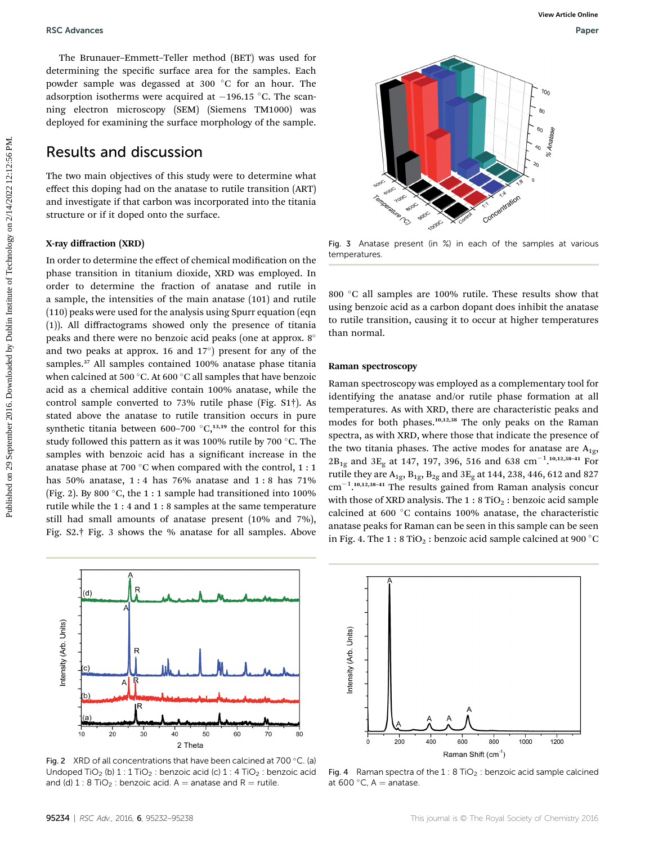The Brunauer–Emmett–Teller method (BET) was used for determining the specific surface area for the samples. Each powder sample was degassed at 300 °C for an hour. The adsorption isotherms were acquired at  $-196.15$  °C. The scanning electron microscopy (SEM) (Siemens TM1000) was deployed for examining the surface morphology of the sample.

### Results and discussion

The two main objectives of this study were to determine what effect this doping had on the anatase to rutile transition (ART) and investigate if that carbon was incorporated into the titania structure or if it doped onto the surface.

### X-ray diffraction (XRD)

In order to determine the effect of chemical modification on the phase transition in titanium dioxide, XRD was employed. In order to determine the fraction of anatase and rutile in a sample, the intensities of the main anatase (101) and rutile (110) peaks were used for the analysis using Spurr equation (eqn (1)). All diffractograms showed only the presence of titania peaks and there were no benzoic acid peaks (one at approx. 8 and two peaks at approx. 16 and  $17^{\circ}$ ) present for any of the samples.<sup>37</sup> All samples contained 100% anatase phase titania when calcined at 500  $^{\circ}$ C. At 600  $^{\circ}$ C all samples that have benzoic acid as a chemical additive contain 100% anatase, while the control sample converted to 73% rutile phase (Fig. S1†). As stated above the anatase to rutile transition occurs in pure synthetic titania between 600–700  $\mathrm{^{\circ}C,^{13,19}}$  the control for this study followed this pattern as it was 100% rutile by 700 °C. The samples with benzoic acid has a significant increase in the anatase phase at 700  $^{\circ}$ C when compared with the control, 1 : 1 has 50% anatase, 1 : 4 has 76% anatase and 1 : 8 has 71% (Fig. 2). By 800  $^{\circ}$ C, the 1 : 1 sample had transitioned into 100% rutile while the 1 : 4 and 1 : 8 samples at the same temperature still had small amounts of anatase present (10% and 7%), Fig. S2.† Fig. 3 shows the % anatase for all samples. Above **PUBLING CARAGES CONSULTS CONTROL** THE TRANSFORM CONTROL TO THE TRANSFORM CONTROL TO THE CONTROL TO THE CONTROL TO THE CONTROL TO THE CONTROL TO THE CONTROL TO THE CONTROL TO THE CONTROL TO THE CONTROL TO THE CONTROL TO T



Fig. 2 XRD of all concentrations that have been calcined at 700 °C. (a) Undoped  $TiO<sub>2</sub>$  (b)  $1:1 TiO<sub>2</sub>$ : benzoic acid (c)  $1:4 TiO<sub>2</sub>$ : benzoic acid and (d)  $1: 8$  TiO<sub>2</sub> : benzoic acid. A = anatase and R = rutile.



Fig. 3 Anatase present (in %) in each of the samples at various temperatures.

800 °C all samples are 100% rutile. These results show that using benzoic acid as a carbon dopant does inhibit the anatase to rutile transition, causing it to occur at higher temperatures than normal.

#### Raman spectroscopy

Raman spectroscopy was employed as a complementary tool for identifying the anatase and/or rutile phase formation at all temperatures. As with XRD, there are characteristic peaks and modes for both phases.10,12,38 The only peaks on the Raman spectra, as with XRD, where those that indicate the presence of the two titania phases. The active modes for anatase are  $A_{1g}$ ,  $2B_{1g}$  and  $3E_g$  at 147, 197, 396, 516 and 638  $cm^{-1}$ .<sup>10,12,38-41</sup> For rutile they are  $A_{1g}$ ,  $B_{1g}$ ,  $B_{2g}$  and  $3E_g$  at 144, 238, 446, 612 and 827  $cm^{-1}$ .<sup>10,12,38-41</sup> The results gained from Raman analysis concur with those of XRD analysis. The  $1:8$  TiO<sub>2</sub>: benzoic acid sample calcined at 600 °C contains 100% anatase, the characteristic anatase peaks for Raman can be seen in this sample can be seen in Fig. 4. The  $1:8$  TiO<sub>2</sub>: benzoic acid sample calcined at 900 °C



Fig. 4 Raman spectra of the  $1:8$  TiO<sub>2</sub> : benzoic acid sample calcined at 600 $^{\circ}$ C, A = anatase.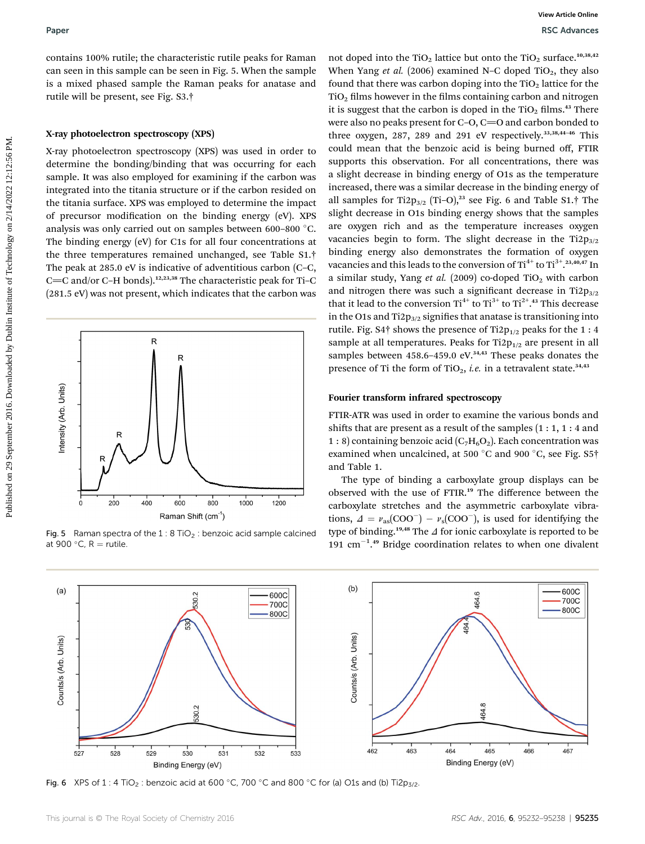contains 100% rutile; the characteristic rutile peaks for Raman can seen in this sample can be seen in Fig. 5. When the sample is a mixed phased sample the Raman peaks for anatase and rutile will be present, see Fig. S3.†

#### X-ray photoelectron spectroscopy (XPS)

X-ray photoelectron spectroscopy (XPS) was used in order to determine the bonding/binding that was occurring for each sample. It was also employed for examining if the carbon was integrated into the titania structure or if the carbon resided on the titania surface. XPS was employed to determine the impact of precursor modification on the binding energy (eV). XPS analysis was only carried out on samples between 600-800 °C. The binding energy (eV) for C1s for all four concentrations at the three temperatures remained unchanged, see Table S1.† The peak at 285.0 eV is indicative of adventitious carbon (C–C, C=C and/or C-H bonds).<sup>12,23,38</sup> The characteristic peak for Ti-C (281.5 eV) was not present, which indicates that the carbon was



Fig. 5 Raman spectra of the 1 : 8 TiO<sub>2</sub> : benzoic acid sample calcined at 900 °C,  $R =$  rutile.

not doped into the TiO<sub>2</sub> lattice but onto the TiO<sub>2</sub> surface.<sup>10,38,42</sup> When Yang et al. (2006) examined N–C doped  $TiO<sub>2</sub>$ , they also found that there was carbon doping into the  $TiO<sub>2</sub>$  lattice for the  $TiO<sub>2</sub>$  films however in the films containing carbon and nitrogen it is suggest that the carbon is doped in the  $TiO<sub>2</sub>$  films.<sup>43</sup> There were also no peaks present for  $C$ -O,  $C$ =O and carbon bonded to three oxygen, 287, 289 and 291 eV respectively.<sup>33,38,44-46</sup> This could mean that the benzoic acid is being burned off, FTIR supports this observation. For all concentrations, there was a slight decrease in binding energy of O1s as the temperature increased, there was a similar decrease in the binding energy of all samples for Ti2p<sub>3/2</sub> (Ti–O),<sup>23</sup> see Fig. 6 and Table S1.<sup>†</sup> The slight decrease in O1s binding energy shows that the samples are oxygen rich and as the temperature increases oxygen vacancies begin to form. The slight decrease in the  $Ti2p_{3/2}$ binding energy also demonstrates the formation of oxygen vacancies and this leads to the conversion of  $\text{Ti}^{4+}$  to  $\text{Ti}^{3+}$  .  $^{23,40,47}$  In a similar study, Yang et al. (2009) co-doped TiO<sub>2</sub> with carbon and nitrogen there was such a significant decrease in Ti2 $p_{3/2}$ that it lead to the conversion  $\text{Ti}^{4+}$  to  $\text{Ti}^{3+}$  to  $\text{Ti}^{2+}$ .<sup>43</sup> This decrease in the O1s and Ti2 $p_{3/2}$  signifies that anatase is transitioning into rutile. Fig. S4 $\dagger$  shows the presence of Ti2 $p_{1/2}$  peaks for the 1 : 4 sample at all temperatures. Peaks for Ti2 $p_{1/2}$  are present in all samples between 458.6-459.0 eV.<sup>34,43</sup> These peaks donates the presence of Ti the form of TiO<sub>2</sub>, *i.e.* in a tetravalent state.<sup>34,43</sup> **Puer**<br>
Contains that we are the same of the same of the same of the same of the same of the same of the same of the same of the same of the same of the same of the same of the same of the same of the same of the same of t

#### Fourier transform infrared spectroscopy

FTIR-ATR was used in order to examine the various bonds and shifts that are present as a result of the samples  $(1:1, 1:4$  and 1 : 8) containing benzoic acid  $(C_7H_6O_2)$ . Each concentration was examined when uncalcined, at 500 °C and 900 °C, see Fig. S5 $\dagger$ and Table 1.

The type of binding a carboxylate group displays can be observed with the use of FTIR.<sup>19</sup> The difference between the carboxylate stretches and the asymmetric carboxylate vibrations,  $\Delta = v_{\rm as}({\rm COO}^{-}) - v_{\rm s}({\rm COO}^{-})$ , is used for identifying the type of binding.<sup>19,48</sup> The  $\Delta$  for ionic carboxylate is reported to be 191  $\text{cm}^{-1}$ .<sup>49</sup> Bridge coordination relates to when one divalent



Fig. 6 XPS of 1 : 4 TiO<sub>2</sub> : benzoic acid at 600 °C, 700 °C and 800 °C for (a) O1s and (b) Ti2p<sub>3/2</sub>.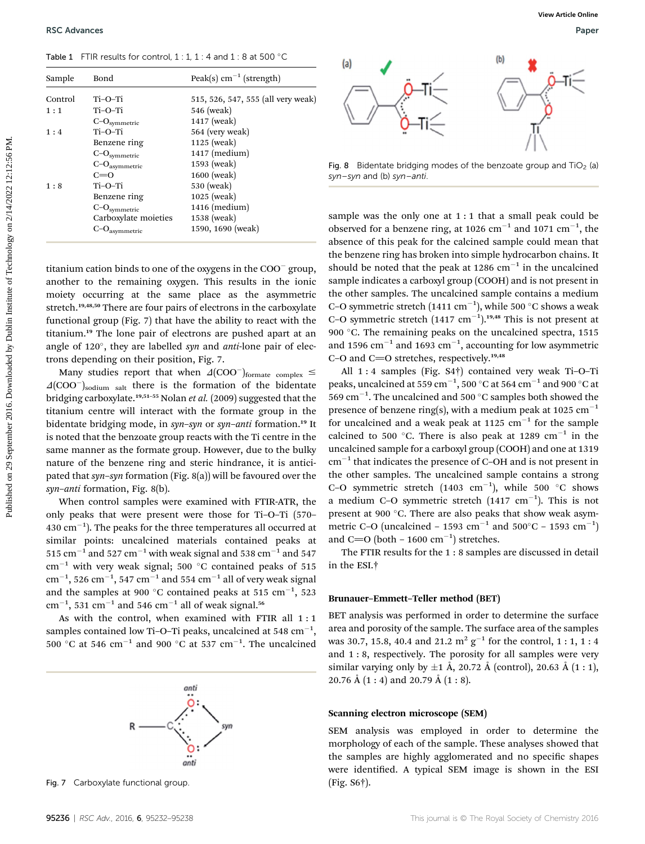Table 1 FTIR results for control,  $1:1, 1:4$  and  $1:8$  at 500 °C

| Table 1 FTIR results for control, $1:1, 1:4$ and $1:8$ at 500 °C<br>(b)<br>(a)<br>Peak(s) $cm^{-1}$ (strength)<br>Sample<br>Bond<br>Control<br>Ti-O-Ti<br>515, 526, 547, 555 (all very weak)<br>Ti-O-Ti<br>546 (weak)<br>1:1<br>1417 (weak)<br>$\text{C--O}_\text{symmetric}$<br>Ti-O-Ti<br>564 (very weak)<br>1:4<br>Benzene ring<br>1125 (weak)<br>$1417$ (medium)<br>$C-Osymmetric$<br>1593 (weak)<br>$C-Oasymmetric$<br>Fig. 8 Bidentate bridging modes of the benzoate group and $TiO2$ (a<br>$C=O$<br>1600 (weak)<br>$syn-syn$ and (b) $syn-anti$ .<br>Ti-O-Ti<br>1:8<br>530 (weak)<br>Benzene ring<br>$1025$ (weak)<br>$1416$ (medium)<br>$C-Osymmetric$<br>sample was the only one at 1:1 that a small peak could be<br>Carboxylate moieties<br>1538 (weak)<br>observed for a benzene ring, at 1026 cm <sup>-1</sup> and 1071 cm <sup>-1</sup> , the<br>1590, 1690 (weak)<br>$C-Oasymmetric$<br>absence of this peak for the calcined sample could mean that<br>the benzene ring has broken into simple hydrocarbon chains. It<br>should be noted that the peak at 1286 $cm^{-1}$ in the uncalcined<br>titanium cation binds to one of the oxygens in the COO <sup>-</sup> group,<br>sample indicates a carboxyl group (COOH) and is not present in<br>another to the remaining oxygen. This results in the ionic<br>the other samples. The uncalcined sample contains a medium<br>moiety occurring at the same place as the asymmetric<br>C-O symmetric stretch (1411 cm <sup>-1</sup> ), while 500 °C shows a weak<br>stretch. <sup>19,48,50</sup> There are four pairs of electrons in the carboxylate<br>C-O symmetric stretch $(1417 \text{ cm}^{-1})$ . <sup>19,48</sup> This is not present at<br>functional group (Fig. 7) that have the ability to react with the<br>900 °C. The remaining peaks on the uncalcined spectra, 1515<br>titanium. <sup>19</sup> The lone pair of electrons are pushed apart at an<br>and 1596 $cm^{-1}$ and 1693 $cm^{-1}$ , accounting for low asymmetric<br>angle of 120°, they are labelled syn and anti-lone pair of elec-<br>C-O and C=O stretches, respectively. <sup>19,48</sup><br>trons depending on their position, Fig. 7.<br>All 1:4 samples (Fig. S4 <sup>†</sup> ) contained very weak Ti-O-T<br>Many studies report that when $\Delta (COO^{-})_{\text{formate complex}} \leq$<br>peaks, uncalcined at 559 cm <sup>-1</sup> , 500 °C at 564 cm <sup>-1</sup> and 900 °C at<br>$\Delta (COO^{-})$ <sub>sodium salt</sub> there is the formation of the bidentate<br>bridging carboxylate. <sup>19,51-55</sup> Nolan et al. (2009) suggested that the<br>presence of benzene ring(s), with a medium peak at 1025 $cm^{-1}$<br>titanium centre will interact with the formate group in the<br>bidentate bridging mode, in syn-syn or syn-anti formation. <sup>19</sup> It<br>is noted that the benzoate group reacts with the Ti centre in the<br>uncalcined sample for a carboxyl group (COOH) and one at 1319 | <b>RSC Advances</b>                                         |  |  |                                                                                                                                    | View Article Online<br>Paper |
|--------------------------------------------------------------------------------------------------------------------------------------------------------------------------------------------------------------------------------------------------------------------------------------------------------------------------------------------------------------------------------------------------------------------------------------------------------------------------------------------------------------------------------------------------------------------------------------------------------------------------------------------------------------------------------------------------------------------------------------------------------------------------------------------------------------------------------------------------------------------------------------------------------------------------------------------------------------------------------------------------------------------------------------------------------------------------------------------------------------------------------------------------------------------------------------------------------------------------------------------------------------------------------------------------------------------------------------------------------------------------------------------------------------------------------------------------------------------------------------------------------------------------------------------------------------------------------------------------------------------------------------------------------------------------------------------------------------------------------------------------------------------------------------------------------------------------------------------------------------------------------------------------------------------------------------------------------------------------------------------------------------------------------------------------------------------------------------------------------------------------------------------------------------------------------------------------------------------------------------------------------------------------------------------------------------------------------------------------------------------------------------------------------------------------------------------------------------------------------------------------------------------------------------------------------------------------------------------------------------------------------------------------------------------------------------------------------------------------------------------------------------------------------------------------------------------------------------------------------------------------------------------------------------------------------------------------------------------------|-------------------------------------------------------------|--|--|------------------------------------------------------------------------------------------------------------------------------------|------------------------------|
|                                                                                                                                                                                                                                                                                                                                                                                                                                                                                                                                                                                                                                                                                                                                                                                                                                                                                                                                                                                                                                                                                                                                                                                                                                                                                                                                                                                                                                                                                                                                                                                                                                                                                                                                                                                                                                                                                                                                                                                                                                                                                                                                                                                                                                                                                                                                                                                                                                                                                                                                                                                                                                                                                                                                                                                                                                                                                                                                                                          |                                                             |  |  |                                                                                                                                    |                              |
|                                                                                                                                                                                                                                                                                                                                                                                                                                                                                                                                                                                                                                                                                                                                                                                                                                                                                                                                                                                                                                                                                                                                                                                                                                                                                                                                                                                                                                                                                                                                                                                                                                                                                                                                                                                                                                                                                                                                                                                                                                                                                                                                                                                                                                                                                                                                                                                                                                                                                                                                                                                                                                                                                                                                                                                                                                                                                                                                                                          |                                                             |  |  |                                                                                                                                    |                              |
|                                                                                                                                                                                                                                                                                                                                                                                                                                                                                                                                                                                                                                                                                                                                                                                                                                                                                                                                                                                                                                                                                                                                                                                                                                                                                                                                                                                                                                                                                                                                                                                                                                                                                                                                                                                                                                                                                                                                                                                                                                                                                                                                                                                                                                                                                                                                                                                                                                                                                                                                                                                                                                                                                                                                                                                                                                                                                                                                                                          |                                                             |  |  |                                                                                                                                    |                              |
|                                                                                                                                                                                                                                                                                                                                                                                                                                                                                                                                                                                                                                                                                                                                                                                                                                                                                                                                                                                                                                                                                                                                                                                                                                                                                                                                                                                                                                                                                                                                                                                                                                                                                                                                                                                                                                                                                                                                                                                                                                                                                                                                                                                                                                                                                                                                                                                                                                                                                                                                                                                                                                                                                                                                                                                                                                                                                                                                                                          |                                                             |  |  |                                                                                                                                    |                              |
|                                                                                                                                                                                                                                                                                                                                                                                                                                                                                                                                                                                                                                                                                                                                                                                                                                                                                                                                                                                                                                                                                                                                                                                                                                                                                                                                                                                                                                                                                                                                                                                                                                                                                                                                                                                                                                                                                                                                                                                                                                                                                                                                                                                                                                                                                                                                                                                                                                                                                                                                                                                                                                                                                                                                                                                                                                                                                                                                                                          |                                                             |  |  |                                                                                                                                    |                              |
|                                                                                                                                                                                                                                                                                                                                                                                                                                                                                                                                                                                                                                                                                                                                                                                                                                                                                                                                                                                                                                                                                                                                                                                                                                                                                                                                                                                                                                                                                                                                                                                                                                                                                                                                                                                                                                                                                                                                                                                                                                                                                                                                                                                                                                                                                                                                                                                                                                                                                                                                                                                                                                                                                                                                                                                                                                                                                                                                                                          |                                                             |  |  |                                                                                                                                    |                              |
|                                                                                                                                                                                                                                                                                                                                                                                                                                                                                                                                                                                                                                                                                                                                                                                                                                                                                                                                                                                                                                                                                                                                                                                                                                                                                                                                                                                                                                                                                                                                                                                                                                                                                                                                                                                                                                                                                                                                                                                                                                                                                                                                                                                                                                                                                                                                                                                                                                                                                                                                                                                                                                                                                                                                                                                                                                                                                                                                                                          |                                                             |  |  |                                                                                                                                    |                              |
|                                                                                                                                                                                                                                                                                                                                                                                                                                                                                                                                                                                                                                                                                                                                                                                                                                                                                                                                                                                                                                                                                                                                                                                                                                                                                                                                                                                                                                                                                                                                                                                                                                                                                                                                                                                                                                                                                                                                                                                                                                                                                                                                                                                                                                                                                                                                                                                                                                                                                                                                                                                                                                                                                                                                                                                                                                                                                                                                                                          |                                                             |  |  |                                                                                                                                    |                              |
|                                                                                                                                                                                                                                                                                                                                                                                                                                                                                                                                                                                                                                                                                                                                                                                                                                                                                                                                                                                                                                                                                                                                                                                                                                                                                                                                                                                                                                                                                                                                                                                                                                                                                                                                                                                                                                                                                                                                                                                                                                                                                                                                                                                                                                                                                                                                                                                                                                                                                                                                                                                                                                                                                                                                                                                                                                                                                                                                                                          |                                                             |  |  |                                                                                                                                    |                              |
|                                                                                                                                                                                                                                                                                                                                                                                                                                                                                                                                                                                                                                                                                                                                                                                                                                                                                                                                                                                                                                                                                                                                                                                                                                                                                                                                                                                                                                                                                                                                                                                                                                                                                                                                                                                                                                                                                                                                                                                                                                                                                                                                                                                                                                                                                                                                                                                                                                                                                                                                                                                                                                                                                                                                                                                                                                                                                                                                                                          |                                                             |  |  |                                                                                                                                    |                              |
|                                                                                                                                                                                                                                                                                                                                                                                                                                                                                                                                                                                                                                                                                                                                                                                                                                                                                                                                                                                                                                                                                                                                                                                                                                                                                                                                                                                                                                                                                                                                                                                                                                                                                                                                                                                                                                                                                                                                                                                                                                                                                                                                                                                                                                                                                                                                                                                                                                                                                                                                                                                                                                                                                                                                                                                                                                                                                                                                                                          |                                                             |  |  |                                                                                                                                    |                              |
|                                                                                                                                                                                                                                                                                                                                                                                                                                                                                                                                                                                                                                                                                                                                                                                                                                                                                                                                                                                                                                                                                                                                                                                                                                                                                                                                                                                                                                                                                                                                                                                                                                                                                                                                                                                                                                                                                                                                                                                                                                                                                                                                                                                                                                                                                                                                                                                                                                                                                                                                                                                                                                                                                                                                                                                                                                                                                                                                                                          |                                                             |  |  |                                                                                                                                    |                              |
|                                                                                                                                                                                                                                                                                                                                                                                                                                                                                                                                                                                                                                                                                                                                                                                                                                                                                                                                                                                                                                                                                                                                                                                                                                                                                                                                                                                                                                                                                                                                                                                                                                                                                                                                                                                                                                                                                                                                                                                                                                                                                                                                                                                                                                                                                                                                                                                                                                                                                                                                                                                                                                                                                                                                                                                                                                                                                                                                                                          |                                                             |  |  |                                                                                                                                    |                              |
|                                                                                                                                                                                                                                                                                                                                                                                                                                                                                                                                                                                                                                                                                                                                                                                                                                                                                                                                                                                                                                                                                                                                                                                                                                                                                                                                                                                                                                                                                                                                                                                                                                                                                                                                                                                                                                                                                                                                                                                                                                                                                                                                                                                                                                                                                                                                                                                                                                                                                                                                                                                                                                                                                                                                                                                                                                                                                                                                                                          |                                                             |  |  |                                                                                                                                    |                              |
|                                                                                                                                                                                                                                                                                                                                                                                                                                                                                                                                                                                                                                                                                                                                                                                                                                                                                                                                                                                                                                                                                                                                                                                                                                                                                                                                                                                                                                                                                                                                                                                                                                                                                                                                                                                                                                                                                                                                                                                                                                                                                                                                                                                                                                                                                                                                                                                                                                                                                                                                                                                                                                                                                                                                                                                                                                                                                                                                                                          |                                                             |  |  |                                                                                                                                    |                              |
|                                                                                                                                                                                                                                                                                                                                                                                                                                                                                                                                                                                                                                                                                                                                                                                                                                                                                                                                                                                                                                                                                                                                                                                                                                                                                                                                                                                                                                                                                                                                                                                                                                                                                                                                                                                                                                                                                                                                                                                                                                                                                                                                                                                                                                                                                                                                                                                                                                                                                                                                                                                                                                                                                                                                                                                                                                                                                                                                                                          |                                                             |  |  |                                                                                                                                    |                              |
|                                                                                                                                                                                                                                                                                                                                                                                                                                                                                                                                                                                                                                                                                                                                                                                                                                                                                                                                                                                                                                                                                                                                                                                                                                                                                                                                                                                                                                                                                                                                                                                                                                                                                                                                                                                                                                                                                                                                                                                                                                                                                                                                                                                                                                                                                                                                                                                                                                                                                                                                                                                                                                                                                                                                                                                                                                                                                                                                                                          |                                                             |  |  |                                                                                                                                    |                              |
|                                                                                                                                                                                                                                                                                                                                                                                                                                                                                                                                                                                                                                                                                                                                                                                                                                                                                                                                                                                                                                                                                                                                                                                                                                                                                                                                                                                                                                                                                                                                                                                                                                                                                                                                                                                                                                                                                                                                                                                                                                                                                                                                                                                                                                                                                                                                                                                                                                                                                                                                                                                                                                                                                                                                                                                                                                                                                                                                                                          |                                                             |  |  |                                                                                                                                    |                              |
|                                                                                                                                                                                                                                                                                                                                                                                                                                                                                                                                                                                                                                                                                                                                                                                                                                                                                                                                                                                                                                                                                                                                                                                                                                                                                                                                                                                                                                                                                                                                                                                                                                                                                                                                                                                                                                                                                                                                                                                                                                                                                                                                                                                                                                                                                                                                                                                                                                                                                                                                                                                                                                                                                                                                                                                                                                                                                                                                                                          |                                                             |  |  | 569 cm <sup>-1</sup> . The uncalcined and 500 $^{\circ}$ C samples both showed the                                                 |                              |
|                                                                                                                                                                                                                                                                                                                                                                                                                                                                                                                                                                                                                                                                                                                                                                                                                                                                                                                                                                                                                                                                                                                                                                                                                                                                                                                                                                                                                                                                                                                                                                                                                                                                                                                                                                                                                                                                                                                                                                                                                                                                                                                                                                                                                                                                                                                                                                                                                                                                                                                                                                                                                                                                                                                                                                                                                                                                                                                                                                          |                                                             |  |  |                                                                                                                                    |                              |
|                                                                                                                                                                                                                                                                                                                                                                                                                                                                                                                                                                                                                                                                                                                                                                                                                                                                                                                                                                                                                                                                                                                                                                                                                                                                                                                                                                                                                                                                                                                                                                                                                                                                                                                                                                                                                                                                                                                                                                                                                                                                                                                                                                                                                                                                                                                                                                                                                                                                                                                                                                                                                                                                                                                                                                                                                                                                                                                                                                          |                                                             |  |  | for uncalcined and a weak peak at 1125 $cm^{-1}$ for the sample<br>calcined to 500 °C. There is also peak at 1289 $cm^{-1}$ in the |                              |
|                                                                                                                                                                                                                                                                                                                                                                                                                                                                                                                                                                                                                                                                                                                                                                                                                                                                                                                                                                                                                                                                                                                                                                                                                                                                                                                                                                                                                                                                                                                                                                                                                                                                                                                                                                                                                                                                                                                                                                                                                                                                                                                                                                                                                                                                                                                                                                                                                                                                                                                                                                                                                                                                                                                                                                                                                                                                                                                                                                          |                                                             |  |  |                                                                                                                                    |                              |
|                                                                                                                                                                                                                                                                                                                                                                                                                                                                                                                                                                                                                                                                                                                                                                                                                                                                                                                                                                                                                                                                                                                                                                                                                                                                                                                                                                                                                                                                                                                                                                                                                                                                                                                                                                                                                                                                                                                                                                                                                                                                                                                                                                                                                                                                                                                                                                                                                                                                                                                                                                                                                                                                                                                                                                                                                                                                                                                                                                          | same manner as the formate group. However, due to the bulky |  |  |                                                                                                                                    |                              |
| $cm^{-1}$ that indicates the presence of C-OH and is not present in<br>nature of the benzene ring and steric hindrance, it is antici-                                                                                                                                                                                                                                                                                                                                                                                                                                                                                                                                                                                                                                                                                                                                                                                                                                                                                                                                                                                                                                                                                                                                                                                                                                                                                                                                                                                                                                                                                                                                                                                                                                                                                                                                                                                                                                                                                                                                                                                                                                                                                                                                                                                                                                                                                                                                                                                                                                                                                                                                                                                                                                                                                                                                                                                                                                    |                                                             |  |  |                                                                                                                                    |                              |
| the other samples. The uncalcined sample contains a strong<br>pated that $syn-syn$ formation (Fig. 8(a)) will be favoured over the                                                                                                                                                                                                                                                                                                                                                                                                                                                                                                                                                                                                                                                                                                                                                                                                                                                                                                                                                                                                                                                                                                                                                                                                                                                                                                                                                                                                                                                                                                                                                                                                                                                                                                                                                                                                                                                                                                                                                                                                                                                                                                                                                                                                                                                                                                                                                                                                                                                                                                                                                                                                                                                                                                                                                                                                                                       |                                                             |  |  |                                                                                                                                    |                              |
| C-O symmetric stretch (1403 $cm^{-1}$ ), while 500 °C shows<br>syn-anti formation, Fig. 8(b).                                                                                                                                                                                                                                                                                                                                                                                                                                                                                                                                                                                                                                                                                                                                                                                                                                                                                                                                                                                                                                                                                                                                                                                                                                                                                                                                                                                                                                                                                                                                                                                                                                                                                                                                                                                                                                                                                                                                                                                                                                                                                                                                                                                                                                                                                                                                                                                                                                                                                                                                                                                                                                                                                                                                                                                                                                                                            |                                                             |  |  |                                                                                                                                    |                              |
| a medium C-O symmetric stretch $(1417 \text{ cm}^{-1})$ . This is not<br>When control samples were examined with FTIR-ATR, the                                                                                                                                                                                                                                                                                                                                                                                                                                                                                                                                                                                                                                                                                                                                                                                                                                                                                                                                                                                                                                                                                                                                                                                                                                                                                                                                                                                                                                                                                                                                                                                                                                                                                                                                                                                                                                                                                                                                                                                                                                                                                                                                                                                                                                                                                                                                                                                                                                                                                                                                                                                                                                                                                                                                                                                                                                           |                                                             |  |  |                                                                                                                                    |                              |
| present at 900 °C. There are also peaks that show weak asym-<br>only peaks that were present were those for Ti-O-Ti (570–                                                                                                                                                                                                                                                                                                                                                                                                                                                                                                                                                                                                                                                                                                                                                                                                                                                                                                                                                                                                                                                                                                                                                                                                                                                                                                                                                                                                                                                                                                                                                                                                                                                                                                                                                                                                                                                                                                                                                                                                                                                                                                                                                                                                                                                                                                                                                                                                                                                                                                                                                                                                                                                                                                                                                                                                                                                |                                                             |  |  |                                                                                                                                    |                              |

When control samples were examined with FTIR-ATR, the only peaks that were present were those for Ti–O–Ti (570– 430  $\rm cm^{-1}$ ). The peaks for the three temperatures all occurred at similar points: uncalcined materials contained peaks at 515 cm<sup>-1</sup> and 527 cm<sup>-1</sup> with weak signal and 538 cm<sup>-1</sup> and 547  $cm^{-1}$  with very weak signal; 500 °C contained peaks of 515  $\rm cm^{-1}$ , 526  $\rm cm^{-1}$ , 547  $\rm cm^{-1}$  and 554  $\rm cm^{-1}$  all of very weak signal and the samples at 900 °C contained peaks at 515  $\text{cm}^{-1}$ , 523  $\rm cm^{-1}$ , 531  $\rm cm^{-1}$  and 546  $\rm cm^{-1}$  all of weak signal.<sup>56</sup>

As with the control, when examined with FTIR all 1:1 samples contained low Ti–O–Ti peaks, uncalcined at 548  $\mathrm{cm}^{-1},$ 500 °C at 546  $cm^{-1}$  and 900 °C at 537  $cm^{-1}$ . The uncalcined

 $ant$ 



Fig. 7 Carboxylate functional group.



Fig. 8 Bidentate bridging modes of the benzoate group and  $TiO<sub>2</sub>$  (a) syn–syn and (b) syn–anti.

All 1 : 4 samples (Fig. S4†) contained very weak Ti–O–Ti peaks, uncalcined at 559  $\mathrm{cm}^{-1}$ , 500  $^\circ\mathrm{C}$  at 564  $\mathrm{cm}^{-1}$  and 900  $^\circ\mathrm{C}$  at 569  $cm^{-1}$ . The uncalcined and 500 °C samples both showed the presence of benzene ring(s), with a medium peak at 1025  $cm^{-1}$ for uncalcined and a weak peak at 1125  $cm^{-1}$  for the sample calcined to 500 °C. There is also peak at 1289  $cm^{-1}$  in the uncalcined sample for a carboxyl group (COOH) and one at 1319  $cm^{-1}$  that indicates the presence of C–OH and is not present in the other samples. The uncalcined sample contains a strong C-O symmetric stretch (1403  $cm^{-1}$ ), while 500 °C shows a medium C-O symmetric stretch  $(1417 \text{ cm}^{-1})$ . This is not present at 900 °C. There are also peaks that show weak asymmetric C–O (uncalcined – 1593 cm<sup>-1</sup> and 500°C – 1593 cm<sup>-1</sup>) and C=O (both  $-1600$  cm<sup>-1</sup>) stretches.

The FTIR results for the 1 : 8 samples are discussed in detail in the ESI.†

#### Brunauer–Emmett–Teller method (BET)

BET analysis was performed in order to determine the surface area and porosity of the sample. The surface area of the samples was 30.7, 15.8, 40.4 and 21.2  $m^2 g^{-1}$  for the control, 1 : 1, 1 : 4 and 1 : 8, respectively. The porosity for all samples were very similar varying only by  $\pm 1$  Å, 20.72 Å (control), 20.63 Å (1 : 1), 20.76 Å  $(1:4)$  and 20.79 Å  $(1:8)$ .

### Scanning electron microscope (SEM)

SEM analysis was employed in order to determine the morphology of each of the sample. These analyses showed that the samples are highly agglomerated and no specific shapes were identified. A typical SEM image is shown in the ESI (Fig. S6†).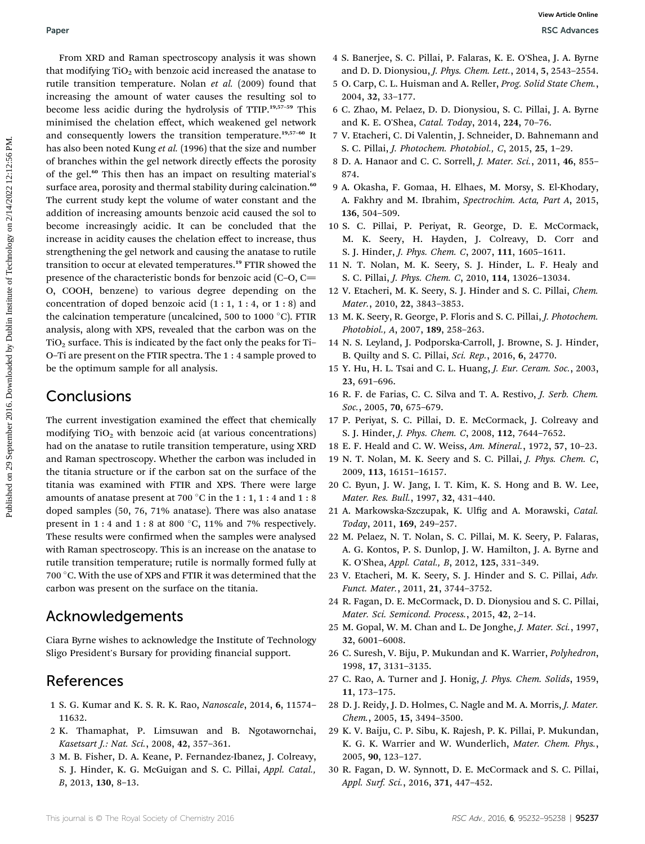From XRD and Raman spectroscopy analysis it was shown that modifying  $TiO<sub>2</sub>$  with benzoic acid increased the anatase to rutile transition temperature. Nolan et al. (2009) found that increasing the amount of water causes the resulting sol to become less acidic during the hydrolysis of TTIP.19,57–<sup>59</sup> This minimised the chelation effect, which weakened gel network and consequently lowers the transition temperature.19,57–<sup>60</sup> It has also been noted Kung et al. (1996) that the size and number of branches within the gel network directly effects the porosity of the gel.<sup>60</sup> This then has an impact on resulting material's surface area, porosity and thermal stability during calcination.<sup>60</sup> The current study kept the volume of water constant and the addition of increasing amounts benzoic acid caused the sol to become increasingly acidic. It can be concluded that the increase in acidity causes the chelation effect to increase, thus strengthening the gel network and causing the anatase to rutile transition to occur at elevated temperatures.<sup>19</sup> FTIR showed the presence of the characteristic bonds for benzoic acid  $(C-O, C=$ O, COOH, benzene) to various degree depending on the concentration of doped benzoic acid  $(1:1, 1:4, \text{ or } 1:8)$  and the calcination temperature (uncalcined, 500 to 1000 $\degree$ C). FTIR analysis, along with XPS, revealed that the carbon was on the  $TiO<sub>2</sub>$  surface. This is indicated by the fact only the peaks for Ti-O–Ti are present on the FTIR spectra. The 1 : 4 sample proved to be the optimum sample for all analysis. **Puer**<br> **Puer (SEA)** (SEA) (SEA) (SEA) (SEA) (SEA) (SEA) (SEA) (SEA) (SEA) (SEA) (SEA) (SEA) (SEA) (SEA) (SEA) (SEA) (SEA) (SEA) (SEA) (SEA) (SEA) (SEA) (SEA) (SEA) (SEA) (SEA) (SEA) (SEA) (SEA) (SEA) (SEA) (SEA) (SEA) (SE

## **Conclusions**

The current investigation examined the effect that chemically modifying  $TiO<sub>2</sub>$  with benzoic acid (at various concentrations) had on the anatase to rutile transition temperature, using XRD and Raman spectroscopy. Whether the carbon was included in the titania structure or if the carbon sat on the surface of the titania was examined with FTIR and XPS. There were large amounts of anatase present at 700  $^{\circ}$ C in the 1 : 1, 1 : 4 and 1 : 8 doped samples (50, 76, 71% anatase). There was also anatase present in 1 : 4 and 1 : 8 at 800  $^{\circ}$ C, 11% and 7% respectively. These results were confirmed when the samples were analysed with Raman spectroscopy. This is an increase on the anatase to rutile transition temperature; rutile is normally formed fully at 700  $^{\circ}$  C. With the use of XPS and FTIR it was determined that the carbon was present on the surface on the titania.

## Acknowledgements

Ciara Byrne wishes to acknowledge the Institute of Technology Sligo President's Bursary for providing financial support.

## References

- 1 S. G. Kumar and K. S. R. K. Rao, Nanoscale, 2014, 6, 11574– 11632.
- 2 K. Thamaphat, P. Limsuwan and B. Ngotawornchai, Kasetsart J.: Nat. Sci., 2008, 42, 357–361.
- 3 M. B. Fisher, D. A. Keane, P. Fernandez-Ibanez, J. Colreavy, S. J. Hinder, K. G. McGuigan and S. C. Pillai, Appl. Catal., B, 2013, 130, 8–13.
- 4 S. Banerjee, S. C. Pillai, P. Falaras, K. E. O'Shea, J. A. Byrne and D. D. Dionysiou, J. Phys. Chem. Lett., 2014, 5, 2543–2554.
- 5 O. Carp, C. L. Huisman and A. Reller, Prog. Solid State Chem., 2004, 32, 33–177.
- 6 C. Zhao, M. Pelaez, D. D. Dionysiou, S. C. Pillai, J. A. Byrne and K. E. O'Shea, Catal. Today, 2014, 224, 70–76.
- 7 V. Etacheri, C. Di Valentin, J. Schneider, D. Bahnemann and S. C. Pillai, J. Photochem. Photobiol., C, 2015, 25, 1–29.
- 8 D. A. Hanaor and C. C. Sorrell, J. Mater. Sci., 2011, 46, 855– 874.
- 9 A. Okasha, F. Gomaa, H. Elhaes, M. Morsy, S. El-Khodary, A. Fakhry and M. Ibrahim, Spectrochim. Acta, Part A, 2015, 136, 504–509.
- 10 S. C. Pillai, P. Periyat, R. George, D. E. McCormack, M. K. Seery, H. Hayden, J. Colreavy, D. Corr and S. J. Hinder, J. Phys. Chem. C, 2007, 111, 1605–1611.
- 11 N. T. Nolan, M. K. Seery, S. J. Hinder, L. F. Healy and S. C. Pillai, J. Phys. Chem. C, 2010, 114, 13026–13034.
- 12 V. Etacheri, M. K. Seery, S. J. Hinder and S. C. Pillai, Chem. Mater., 2010, 22, 3843–3853.
- 13 M. K. Seery, R. George, P. Floris and S. C. Pillai, J. Photochem. Photobiol., A, 2007, 189, 258–263.
- 14 N. S. Leyland, J. Podporska-Carroll, J. Browne, S. J. Hinder, B. Quilty and S. C. Pillai, Sci. Rep., 2016, 6, 24770.
- 15 Y. Hu, H. L. Tsai and C. L. Huang, J. Eur. Ceram. Soc., 2003, 23, 691–696.
- 16 R. F. de Farias, C. C. Silva and T. A. Restivo, J. Serb. Chem. Soc., 2005, 70, 675–679.
- 17 P. Periyat, S. C. Pillai, D. E. McCormack, J. Colreavy and S. J. Hinder, J. Phys. Chem. C, 2008, 112, 7644–7652.
- 18 E. F. Heald and C. W. Weiss, Am. Mineral., 1972, 57, 10–23.
- 19 N. T. Nolan, M. K. Seery and S. C. Pillai, J. Phys. Chem. C, 2009, 113, 16151–16157.
- 20 C. Byun, J. W. Jang, I. T. Kim, K. S. Hong and B. W. Lee, Mater. Res. Bull., 1997, 32, 431–440.
- 21 A. Markowska-Szczupak, K. Ulfig and A. Morawski, Catal. Today, 2011, 169, 249–257.
- 22 M. Pelaez, N. T. Nolan, S. C. Pillai, M. K. Seery, P. Falaras, A. G. Kontos, P. S. Dunlop, J. W. Hamilton, J. A. Byrne and K. O'Shea, Appl. Catal., B, 2012, 125, 331–349.
- 23 V. Etacheri, M. K. Seery, S. J. Hinder and S. C. Pillai, Adv. Funct. Mater., 2011, 21, 3744–3752.
- 24 R. Fagan, D. E. McCormack, D. D. Dionysiou and S. C. Pillai, Mater. Sci. Semicond. Process., 2015, 42, 2–14.
- 25 M. Gopal, W. M. Chan and L. De Jonghe, J. Mater. Sci., 1997, 32, 6001–6008.
- 26 C. Suresh, V. Biju, P. Mukundan and K. Warrier, Polyhedron, 1998, 17, 3131–3135.
- 27 C. Rao, A. Turner and J. Honig, J. Phys. Chem. Solids, 1959, 11, 173–175.
- 28 D. J. Reidy, J. D. Holmes, C. Nagle and M. A. Morris, J. Mater. Chem., 2005, 15, 3494–3500.
- 29 K. V. Baiju, C. P. Sibu, K. Rajesh, P. K. Pillai, P. Mukundan, K. G. K. Warrier and W. Wunderlich, Mater. Chem. Phys., 2005, 90, 123–127.
- 30 R. Fagan, D. W. Synnott, D. E. McCormack and S. C. Pillai, Appl. Surf. Sci., 2016, 371, 447–452.